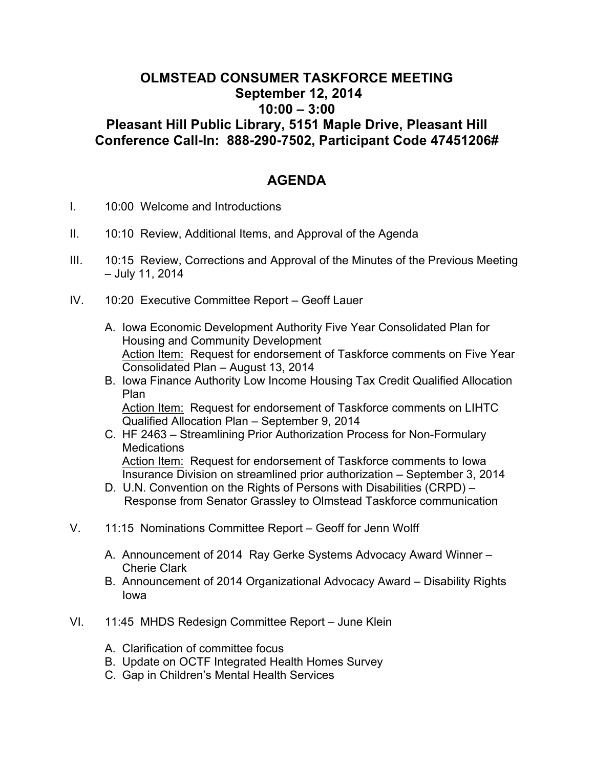## **OLMSTEAD CONSUMER TASKFORCE MEETING September 12, 2014 10:00 – 3:00 Pleasant Hill Public Library, 5151 Maple Drive, Pleasant Hill Conference Call-In: 888-290-7502, Participant Code 47451206#**

## **AGENDA**

- I. 10:00 Welcome and Introductions
- II. 10:10 Review, Additional Items, and Approval of the Agenda
- III. 10:15 Review, Corrections and Approval of the Minutes of the Previous Meeting – July 11, 2014
- IV. 10:20 Executive Committee Report Geoff Lauer
	- A. Iowa Economic Development Authority Five Year Consolidated Plan for Housing and Community Development Action Item: Request for endorsement of Taskforce comments on Five Year Consolidated Plan – August 13, 2014
	- B. Iowa Finance Authority Low Income Housing Tax Credit Qualified Allocation Plan Action Item: Request for endorsement of Taskforce comments on LIHTC Qualified Allocation Plan – September 9, 2014
	- C. HF 2463 Streamlining Prior Authorization Process for Non-Formulary **Medications** Action Item: Request for endorsement of Taskforce comments to Iowa Insurance Division on streamlined prior authorization – September 3, 2014
	- D. U.N. Convention on the Rights of Persons with Disabilities (CRPD) Response from Senator Grassley to Olmstead Taskforce communication
- V. 11:15 Nominations Committee Report Geoff for Jenn Wolff
	- A. Announcement of 2014 Ray Gerke Systems Advocacy Award Winner Cherie Clark
	- B. Announcement of 2014 Organizational Advocacy Award Disability Rights Iowa
- VI. 11:45 MHDS Redesign Committee Report June Klein
	- A. Clarification of committee focus
	- B. Update on OCTF Integrated Health Homes Survey
	- C. Gap in Children's Mental Health Services